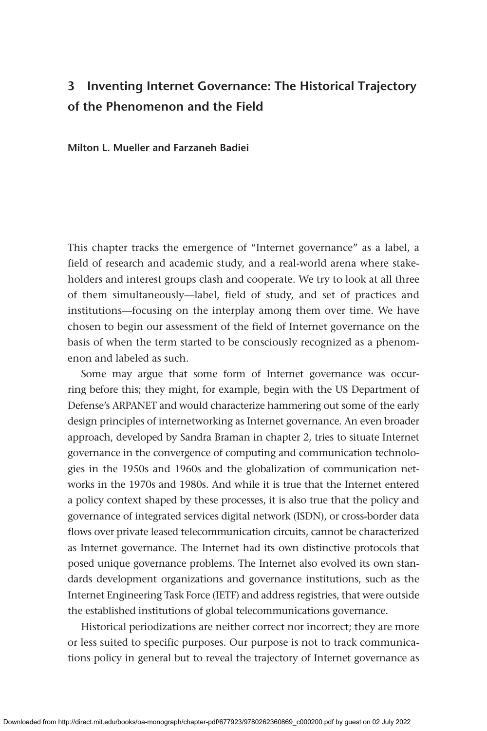# **3 Inventing Internet Governance: The Historical Trajectory of the Phenomenon and the Field**

### **Milton L. Mueller and Farzaneh Badiei**

This chapter tracks the emergence of "Internet governance" as a label, a field of research and academic study, and a real-world arena where stakeholders and interest groups clash and cooperate. We try to look at all three of them simultaneously—label, field of study, and set of practices and institutions—focusing on the interplay among them over time. We have chosen to begin our assessment of the field of Internet governance on the basis of when the term started to be consciously recognized as a phenomenon and labeled as such.

Some may argue that some form of Internet governance was occurring before this; they might, for example, begin with the US Department of Defense's ARPANET and would characterize hammering out some of the early design principles of internetworking as Internet governance. An even broader approach, developed by Sandra Braman in chapter 2, tries to situate Internet governance in the convergence of computing and communication technologies in the 1950s and 1960s and the globalization of communication networks in the 1970s and 1980s. And while it is true that the Internet entered a policy context shaped by these processes, it is also true that the policy and governance of integrated services digital network (ISDN), or cross-border data flows over private leased telecommunication circuits, cannot be characterized as Internet governance. The Internet had its own distinctive protocols that posed unique governance problems. The Internet also evolved its own standards development organizations and governance institutions, such as the Internet Engineering Task Force (IETF) and address registries, that were outside the established institutions of global telecommunications governance.

Historical periodizations are neither correct nor incorrect; they are more or less suited to specific purposes. Our purpose is not to track communications policy in general but to reveal the trajectory of Internet governance as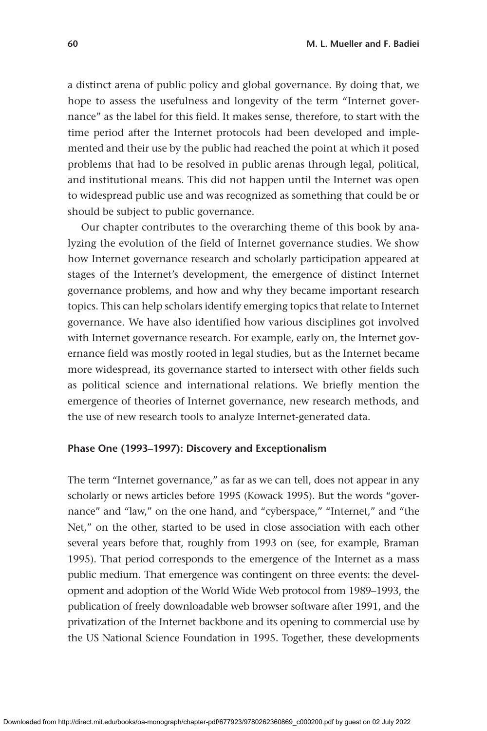a distinct arena of public policy and global governance. By doing that, we hope to assess the usefulness and longevity of the term "Internet governance" as the label for this field. It makes sense, therefore, to start with the time period after the Internet protocols had been developed and implemented and their use by the public had reached the point at which it posed problems that had to be resolved in public arenas through legal, political, and institutional means. This did not happen until the Internet was open to widespread public use and was recognized as something that could be or should be subject to public governance.

Our chapter contributes to the overarching theme of this book by analyzing the evolution of the field of Internet governance studies. We show how Internet governance research and scholarly participation appeared at stages of the Internet's development, the emergence of distinct Internet governance problems, and how and why they became important research topics. This can help scholars identify emerging topics that relate to Internet governance. We have also identified how various disciplines got involved with Internet governance research. For example, early on, the Internet governance field was mostly rooted in legal studies, but as the Internet became more widespread, its governance started to intersect with other fields such as political science and international relations. We briefly mention the emergence of theories of Internet governance, new research methods, and the use of new research tools to analyze Internet-generated data.

# **Phase One (1993–1997): Discovery and Exceptionalism**

The term "Internet governance," as far as we can tell, does not appear in any scholarly or news articles before 1995 (Kowack 1995). But the words "governance" and "law," on the one hand, and "cyberspace," "Internet," and "the Net," on the other, started to be used in close association with each other several years before that, roughly from 1993 on (see, for example, Braman 1995). That period corresponds to the emergence of the Internet as a mass public medium. That emergence was contingent on three events: the development and adoption of the World Wide Web protocol from 1989–1993, the publication of freely downloadable web browser software after 1991, and the privatization of the Internet backbone and its opening to commercial use by the US National Science Foundation in 1995. Together, these developments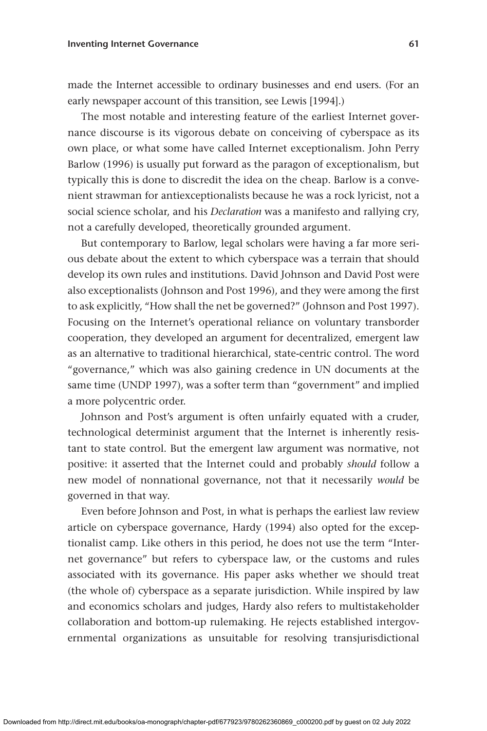#### **Inventing Internet Governance 61**

made the Internet accessible to ordinary businesses and end users. (For an early newspaper account of this transition, see Lewis [1994].)

The most notable and interesting feature of the earliest Internet governance discourse is its vigorous debate on conceiving of cyberspace as its own place, or what some have called Internet exceptionalism. John Perry Barlow (1996) is usually put forward as the paragon of exceptionalism, but typically this is done to discredit the idea on the cheap. Barlow is a convenient strawman for antiexceptionalists because he was a rock lyricist, not a social science scholar, and his *Declaration* was a manifesto and rallying cry, not a carefully developed, theoretically grounded argument.

But contemporary to Barlow, legal scholars were having a far more serious debate about the extent to which cyberspace was a terrain that should develop its own rules and institutions. David Johnson and David Post were also exceptionalists (Johnson and Post 1996), and they were among the first to ask explicitly, "How shall the net be governed?" (Johnson and Post 1997). Focusing on the Internet's operational reliance on voluntary transborder cooperation, they developed an argument for decentralized, emergent law as an alternative to traditional hierarchical, state-centric control. The word "governance," which was also gaining credence in UN documents at the same time (UNDP 1997), was a softer term than "government" and implied a more polycentric order.

Johnson and Post's argument is often unfairly equated with a cruder, technological determinist argument that the Internet is inherently resistant to state control. But the emergent law argument was normative, not positive: it asserted that the Internet could and probably *should* follow a new model of nonnational governance, not that it necessarily *would* be governed in that way.

Even before Johnson and Post, in what is perhaps the earliest law review article on cyberspace governance, Hardy (1994) also opted for the exceptionalist camp. Like others in this period, he does not use the term "Internet governance" but refers to cyberspace law, or the customs and rules associated with its governance. His paper asks whether we should treat (the whole of) cyberspace as a separate jurisdiction. While inspired by law and economics scholars and judges, Hardy also refers to multistakeholder collaboration and bottom-up rulemaking. He rejects established intergovernmental organizations as unsuitable for resolving transjurisdictional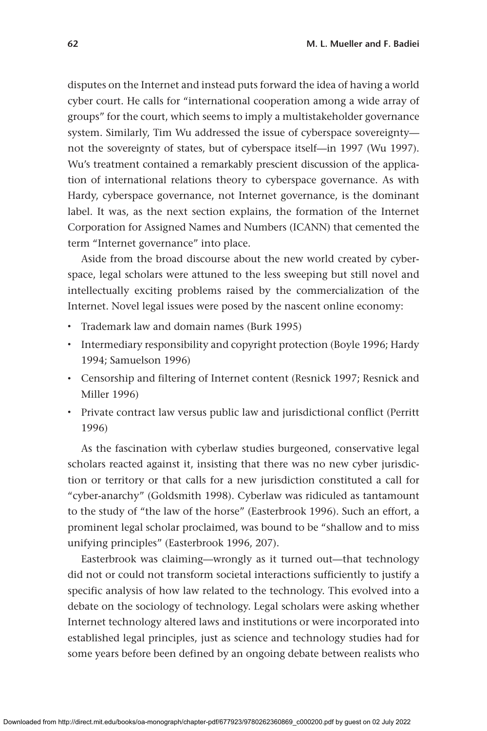disputes on the Internet and instead puts forward the idea of having a world cyber court. He calls for "international cooperation among a wide array of groups" for the court, which seems to imply a multistakeholder governance system. Similarly, Tim Wu addressed the issue of cyberspace sovereignty not the sovereignty of states, but of cyberspace itself—in 1997 (Wu 1997). Wu's treatment contained a remarkably prescient discussion of the application of international relations theory to cyberspace governance. As with Hardy, cyberspace governance, not Internet governance, is the dominant label. It was, as the next section explains, the formation of the Internet Corporation for Assigned Names and Numbers (ICANN) that cemented the term "Internet governance" into place.

Aside from the broad discourse about the new world created by cyberspace, legal scholars were attuned to the less sweeping but still novel and intellectually exciting problems raised by the commercialization of the Internet. Novel legal issues were posed by the nascent online economy:

- Trademark law and domain names (Burk 1995)
- Intermediary responsibility and copyright protection (Boyle 1996; Hardy 1994; Samuelson 1996)
- Censorship and filtering of Internet content (Resnick 1997; Resnick and Miller 1996)
- Private contract law versus public law and jurisdictional conflict (Perritt 1996)

As the fascination with cyberlaw studies burgeoned, conservative legal scholars reacted against it, insisting that there was no new cyber jurisdiction or territory or that calls for a new jurisdiction constituted a call for "cyber-anarchy" (Goldsmith 1998). Cyberlaw was ridiculed as tantamount to the study of "the law of the horse" (Easterbrook 1996). Such an effort, a prominent legal scholar proclaimed, was bound to be "shallow and to miss unifying principles" (Easterbrook 1996, 207).

Easterbrook was claiming—wrongly as it turned out—that technology did not or could not transform societal interactions sufficiently to justify a specific analysis of how law related to the technology. This evolved into a debate on the sociology of technology. Legal scholars were asking whether Internet technology altered laws and institutions or were incorporated into established legal principles, just as science and technology studies had for some years before been defined by an ongoing debate between realists who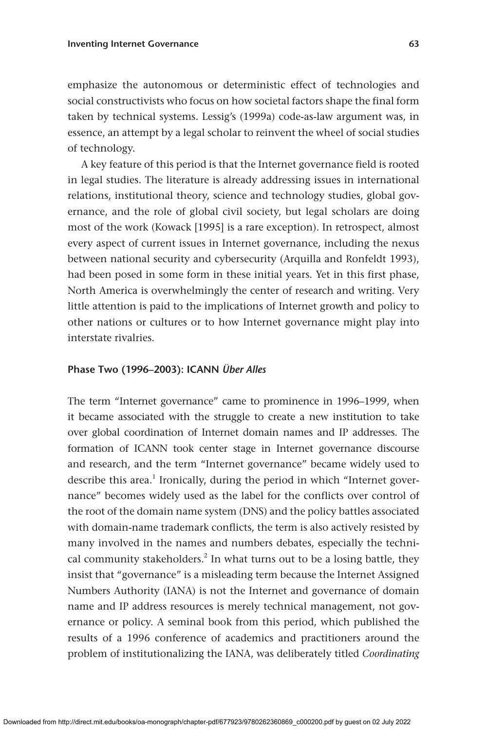emphasize the autonomous or deterministic effect of technologies and social constructivists who focus on how societal factors shape the final form taken by technical systems. Lessig's (1999a) code-as-law argument was, in essence, an attempt by a legal scholar to reinvent the wheel of social studies of technology.

A key feature of this period is that the Internet governance field is rooted in legal studies. The literature is already addressing issues in international relations, institutional theory, science and technology studies, global governance, and the role of global civil society, but legal scholars are doing most of the work (Kowack [1995] is a rare exception). In retrospect, almost every aspect of current issues in Internet governance, including the nexus between national security and cybersecurity (Arquilla and Ronfeldt 1993), had been posed in some form in these initial years. Yet in this first phase, North America is overwhelmingly the center of research and writing. Very little attention is paid to the implications of Internet growth and policy to other nations or cultures or to how Internet governance might play into interstate rivalries.

## **Phase Two (1996–2003): ICANN** *Über Alles*

The term "Internet governance" came to prominence in 1996–1999, when it became associated with the struggle to create a new institution to take over global coordination of Internet domain names and IP addresses. The formation of ICANN took center stage in Internet governance discourse and research, and the term "Internet governance" became widely used to describe this area.<sup>1</sup> Ironically, during the period in which "Internet governance" becomes widely used as the label for the conflicts over control of the root of the domain name system (DNS) and the policy battles associated with domain-name trademark conflicts, the term is also actively resisted by many involved in the names and numbers debates, especially the technical community stakeholders.<sup>2</sup> In what turns out to be a losing battle, they insist that "governance" is a misleading term because the Internet Assigned Numbers Authority (IANA) is not the Internet and governance of domain name and IP address resources is merely technical management, not governance or policy. A seminal book from this period, which published the results of a 1996 conference of academics and practitioners around the problem of institutionalizing the IANA, was deliberately titled *Coordinating*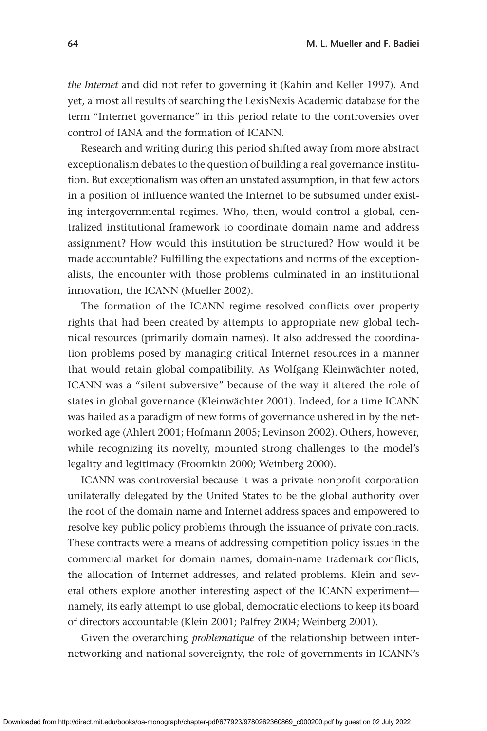*the Internet* and did not refer to governing it (Kahin and Keller 1997). And yet, almost all results of searching the LexisNexis Academic database for the term "Internet governance" in this period relate to the controversies over control of IANA and the formation of ICANN.

Research and writing during this period shifted away from more abstract exceptionalism debates to the question of building a real governance institution. But exceptionalism was often an unstated assumption, in that few actors in a position of influence wanted the Internet to be subsumed under existing intergovernmental regimes. Who, then, would control a global, centralized institutional framework to coordinate domain name and address assignment? How would this institution be structured? How would it be made accountable? Fulfilling the expectations and norms of the exceptionalists, the encounter with those problems culminated in an institutional innovation, the ICANN (Mueller 2002).

The formation of the ICANN regime resolved conflicts over property rights that had been created by attempts to appropriate new global technical resources (primarily domain names). It also addressed the coordination problems posed by managing critical Internet resources in a manner that would retain global compatibility. As Wolfgang Kleinwächter noted, ICANN was a "silent subversive" because of the way it altered the role of states in global governance (Kleinwächter 2001). Indeed, for a time ICANN was hailed as a paradigm of new forms of governance ushered in by the networked age (Ahlert 2001; Hofmann 2005; Levinson 2002). Others, however, while recognizing its novelty, mounted strong challenges to the model's legality and legitimacy (Froomkin 2000; Weinberg 2000).

ICANN was controversial because it was a private nonprofit corporation unilaterally delegated by the United States to be the global authority over the root of the domain name and Internet address spaces and empowered to resolve key public policy problems through the issuance of private contracts. These contracts were a means of addressing competition policy issues in the commercial market for domain names, domain-name trademark conflicts, the allocation of Internet addresses, and related problems. Klein and several others explore another interesting aspect of the ICANN experiment namely, its early attempt to use global, democratic elections to keep its board of directors accountable (Klein 2001; Palfrey 2004; Weinberg 2001).

Given the overarching *problematique* of the relationship between internetworking and national sovereignty, the role of governments in ICANN's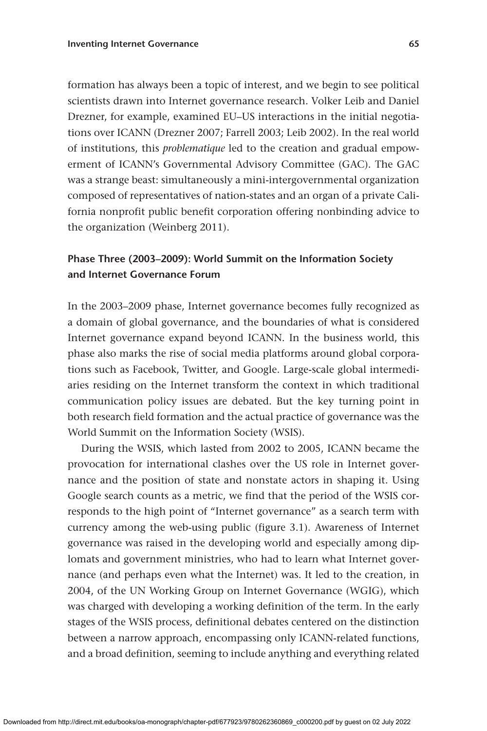formation has always been a topic of interest, and we begin to see political scientists drawn into Internet governance research. Volker Leib and Daniel Drezner, for example, examined EU–US interactions in the initial negotiations over ICANN (Drezner 2007; Farrell 2003; Leib 2002). In the real world of institutions, this *problematique* led to the creation and gradual empowerment of ICANN's Governmental Advisory Committee (GAC). The GAC was a strange beast: simultaneously a mini-intergovernmental organization composed of representatives of nation-states and an organ of a private California nonprofit public benefit corporation offering nonbinding advice to the organization (Weinberg 2011).

# **Phase Three (2003–2009): World Summit on the Information Society and Internet Governance Forum**

In the 2003–2009 phase, Internet governance becomes fully recognized as a domain of global governance, and the boundaries of what is considered Internet governance expand beyond ICANN. In the business world, this phase also marks the rise of social media platforms around global corporations such as Facebook, Twitter, and Google. Large-scale global intermediaries residing on the Internet transform the context in which traditional communication policy issues are debated. But the key turning point in both research field formation and the actual practice of governance was the World Summit on the Information Society (WSIS).

During the WSIS, which lasted from 2002 to 2005, ICANN became the provocation for international clashes over the US role in Internet governance and the position of state and nonstate actors in shaping it. Using Google search counts as a metric, we find that the period of the WSIS corresponds to the high point of "Internet governance" as a search term with currency among the web-using public (figure 3.1). Awareness of Internet governance was raised in the developing world and especially among diplomats and government ministries, who had to learn what Internet governance (and perhaps even what the Internet) was. It led to the creation, in 2004, of the UN Working Group on Internet Governance (WGIG), which was charged with developing a working definition of the term. In the early stages of the WSIS process, definitional debates centered on the distinction between a narrow approach, encompassing only ICANN-related functions, and a broad definition, seeming to include anything and everything related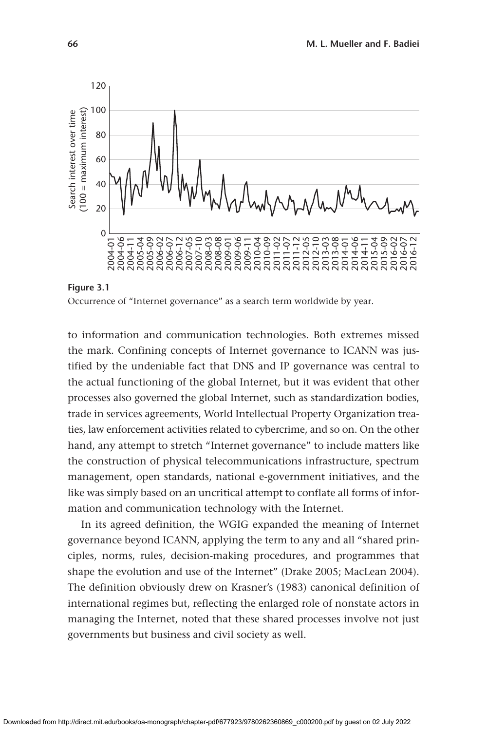

**Figure 3.1** Occurrence of "Internet governance" as a search term worldwide by year.

to information and communication technologies. Both extremes missed the mark. Confining concepts of Internet governance to ICANN was justified by the undeniable fact that DNS and IP governance was central to the actual functioning of the global Internet, but it was evident that other processes also governed the global Internet, such as standardization bodies, trade in services agreements, World Intellectual Property Organization treaties, law enforcement activities related to cybercrime, and so on. On the other hand, any attempt to stretch "Internet governance" to include matters like the construction of physical telecommunications infrastructure, spectrum management, open standards, national e-government initiatives, and the like was simply based on an uncritical attempt to conflate all forms of information and communication technology with the Internet.

In its agreed definition, the WGIG expanded the meaning of Internet governance beyond ICANN, applying the term to any and all "shared principles, norms, rules, decision-making procedures, and programmes that shape the evolution and use of the Internet" (Drake 2005; MacLean 2004). The definition obviously drew on Krasner's (1983) canonical definition of international regimes but, reflecting the enlarged role of nonstate actors in managing the Internet, noted that these shared processes involve not just governments but business and civil society as well.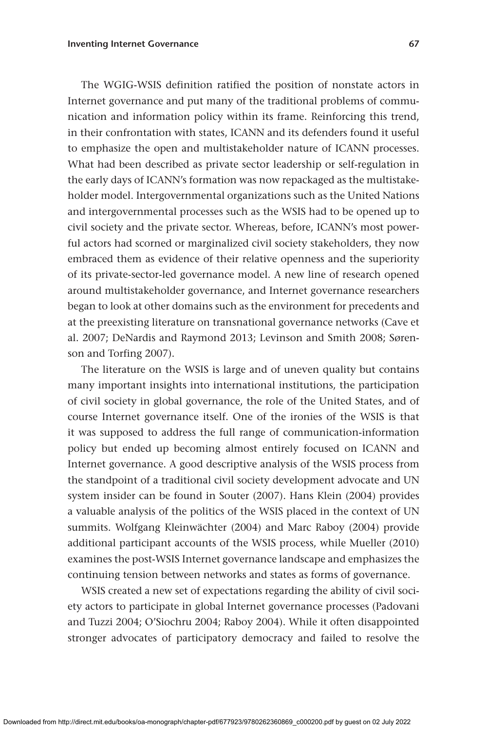The WGIG-WSIS definition ratified the position of nonstate actors in Internet governance and put many of the traditional problems of communication and information policy within its frame. Reinforcing this trend, in their confrontation with states, ICANN and its defenders found it useful to emphasize the open and multistakeholder nature of ICANN processes. What had been described as private sector leadership or self-regulation in the early days of ICANN's formation was now repackaged as the multistakeholder model. Intergovernmental organizations such as the United Nations and intergovernmental processes such as the WSIS had to be opened up to civil society and the private sector. Whereas, before, ICANN's most powerful actors had scorned or marginalized civil society stakeholders, they now embraced them as evidence of their relative openness and the superiority of its private-sector-led governance model. A new line of research opened around multistakeholder governance, and Internet governance researchers began to look at other domains such as the environment for precedents and at the preexisting literature on transnational governance networks (Cave et al. 2007; DeNardis and Raymond 2013; Levinson and Smith 2008; Sørenson and Torfing 2007).

The literature on the WSIS is large and of uneven quality but contains many important insights into international institutions, the participation of civil society in global governance, the role of the United States, and of course Internet governance itself. One of the ironies of the WSIS is that it was supposed to address the full range of communication-information policy but ended up becoming almost entirely focused on ICANN and Internet governance. A good descriptive analysis of the WSIS process from the standpoint of a traditional civil society development advocate and UN system insider can be found in Souter (2007). Hans Klein (2004) provides a valuable analysis of the politics of the WSIS placed in the context of UN summits. Wolfgang Kleinwächter (2004) and Marc Raboy (2004) provide additional participant accounts of the WSIS process, while Mueller (2010) examines the post-WSIS Internet governance landscape and emphasizes the continuing tension between networks and states as forms of governance.

WSIS created a new set of expectations regarding the ability of civil society actors to participate in global Internet governance processes (Padovani and Tuzzi 2004; O'Siochru 2004; Raboy 2004). While it often disappointed stronger advocates of participatory democracy and failed to resolve the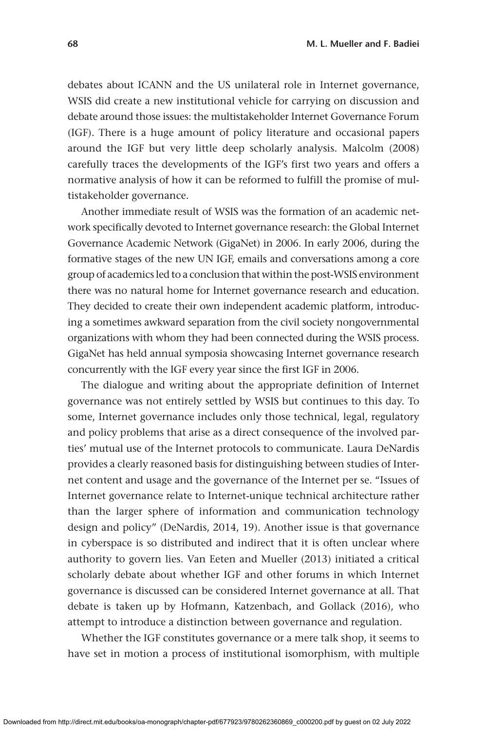debates about ICANN and the US unilateral role in Internet governance, WSIS did create a new institutional vehicle for carrying on discussion and debate around those issues: the multistakeholder Internet Governance Forum (IGF). There is a huge amount of policy literature and occasional papers around the IGF but very little deep scholarly analysis. Malcolm (2008) carefully traces the developments of the IGF's first two years and offers a normative analysis of how it can be reformed to fulfill the promise of multistakeholder governance.

Another immediate result of WSIS was the formation of an academic network specifically devoted to Internet governance research: the Global Internet Governance Academic Network (GigaNet) in 2006. In early 2006, during the formative stages of the new UN IGF, emails and conversations among a core group of academics led to a conclusion that within the post-WSIS environment there was no natural home for Internet governance research and education. They decided to create their own independent academic platform, introducing a sometimes awkward separation from the civil society nongovernmental organizations with whom they had been connected during the WSIS process. GigaNet has held annual symposia showcasing Internet governance research concurrently with the IGF every year since the first IGF in 2006.

The dialogue and writing about the appropriate definition of Internet governance was not entirely settled by WSIS but continues to this day. To some, Internet governance includes only those technical, legal, regulatory and policy problems that arise as a direct consequence of the involved parties' mutual use of the Internet protocols to communicate. Laura DeNardis provides a clearly reasoned basis for distinguishing between studies of Internet content and usage and the governance of the Internet per se. "Issues of Internet governance relate to Internet-unique technical architecture rather than the larger sphere of information and communication technology design and policy" (DeNardis, 2014, 19). Another issue is that governance in cyberspace is so distributed and indirect that it is often unclear where authority to govern lies. Van Eeten and Mueller (2013) initiated a critical scholarly debate about whether IGF and other forums in which Internet governance is discussed can be considered Internet governance at all. That debate is taken up by Hofmann, Katzenbach, and Gollack (2016), who attempt to introduce a distinction between governance and regulation.

Whether the IGF constitutes governance or a mere talk shop, it seems to have set in motion a process of institutional isomorphism, with multiple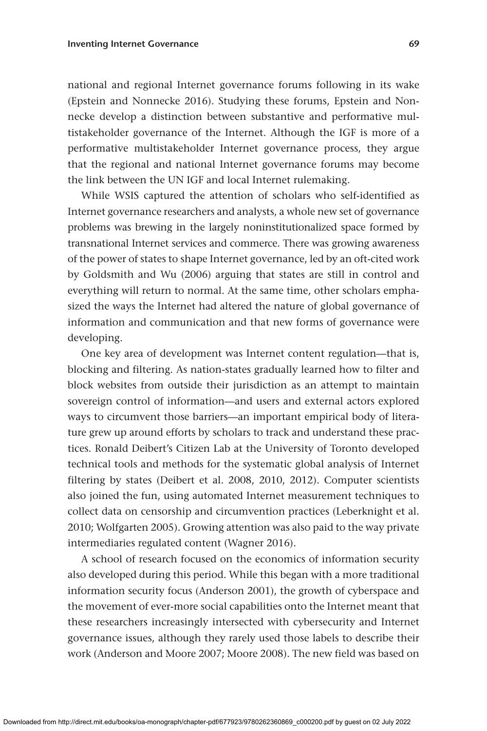national and regional Internet governance forums following in its wake (Epstein and Nonnecke 2016). Studying these forums, Epstein and Nonnecke develop a distinction between substantive and performative multistakeholder governance of the Internet. Although the IGF is more of a performative multistakeholder Internet governance process, they argue that the regional and national Internet governance forums may become the link between the UN IGF and local Internet rulemaking.

While WSIS captured the attention of scholars who self-identified as Internet governance researchers and analysts, a whole new set of governance problems was brewing in the largely noninstitutionalized space formed by transnational Internet services and commerce. There was growing awareness of the power of states to shape Internet governance, led by an oft-cited work by Goldsmith and Wu (2006) arguing that states are still in control and everything will return to normal. At the same time, other scholars emphasized the ways the Internet had altered the nature of global governance of information and communication and that new forms of governance were developing.

One key area of development was Internet content regulation—that is, blocking and filtering. As nation-states gradually learned how to filter and block websites from outside their jurisdiction as an attempt to maintain sovereign control of information—and users and external actors explored ways to circumvent those barriers—an important empirical body of literature grew up around efforts by scholars to track and understand these practices. Ronald Deibert's Citizen Lab at the University of Toronto developed technical tools and methods for the systematic global analysis of Internet filtering by states (Deibert et al. 2008, 2010, 2012). Computer scientists also joined the fun, using automated Internet measurement techniques to collect data on censorship and circumvention practices (Leberknight et al. 2010; Wolfgarten 2005). Growing attention was also paid to the way private intermediaries regulated content (Wagner 2016).

A school of research focused on the economics of information security also developed during this period. While this began with a more traditional information security focus (Anderson 2001), the growth of cyberspace and the movement of ever-more social capabilities onto the Internet meant that these researchers increasingly intersected with cybersecurity and Internet governance issues, although they rarely used those labels to describe their work (Anderson and Moore 2007; Moore 2008). The new field was based on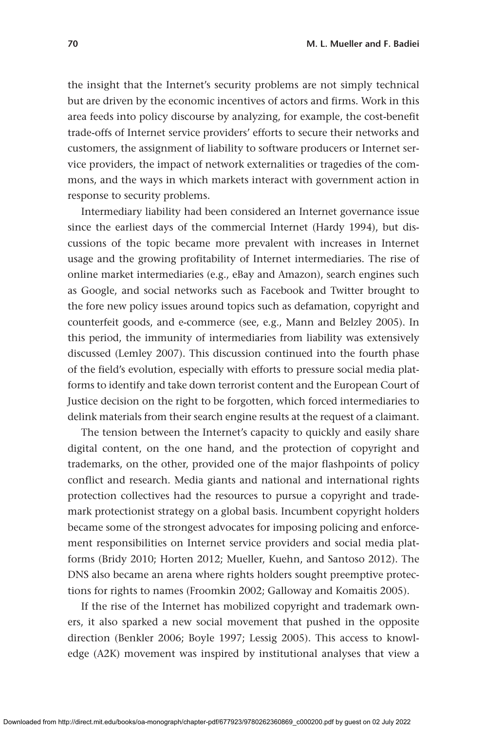the insight that the Internet's security problems are not simply technical but are driven by the economic incentives of actors and firms. Work in this area feeds into policy discourse by analyzing, for example, the cost-benefit trade-offs of Internet service providers' efforts to secure their networks and customers, the assignment of liability to software producers or Internet service providers, the impact of network externalities or tragedies of the commons, and the ways in which markets interact with government action in response to security problems.

Intermediary liability had been considered an Internet governance issue since the earliest days of the commercial Internet (Hardy 1994), but discussions of the topic became more prevalent with increases in Internet usage and the growing profitability of Internet intermediaries. The rise of online market intermediaries (e.g., eBay and Amazon), search engines such as Google, and social networks such as Facebook and Twitter brought to the fore new policy issues around topics such as defamation, copyright and counterfeit goods, and e-commerce (see, e.g., Mann and Belzley 2005). In this period, the immunity of intermediaries from liability was extensively discussed (Lemley 2007). This discussion continued into the fourth phase of the field's evolution, especially with efforts to pressure social media platforms to identify and take down terrorist content and the European Court of Justice decision on the right to be forgotten, which forced intermediaries to delink materials from their search engine results at the request of a claimant.

The tension between the Internet's capacity to quickly and easily share digital content, on the one hand, and the protection of copyright and trademarks, on the other, provided one of the major flashpoints of policy conflict and research. Media giants and national and international rights protection collectives had the resources to pursue a copyright and trademark protectionist strategy on a global basis. Incumbent copyright holders became some of the strongest advocates for imposing policing and enforcement responsibilities on Internet service providers and social media platforms (Bridy 2010; Horten 2012; Mueller, Kuehn, and Santoso 2012). The DNS also became an arena where rights holders sought preemptive protections for rights to names (Froomkin 2002; Galloway and Komaitis 2005).

If the rise of the Internet has mobilized copyright and trademark owners, it also sparked a new social movement that pushed in the opposite direction (Benkler 2006; Boyle 1997; Lessig 2005). This access to knowledge (A2K) movement was inspired by institutional analyses that view a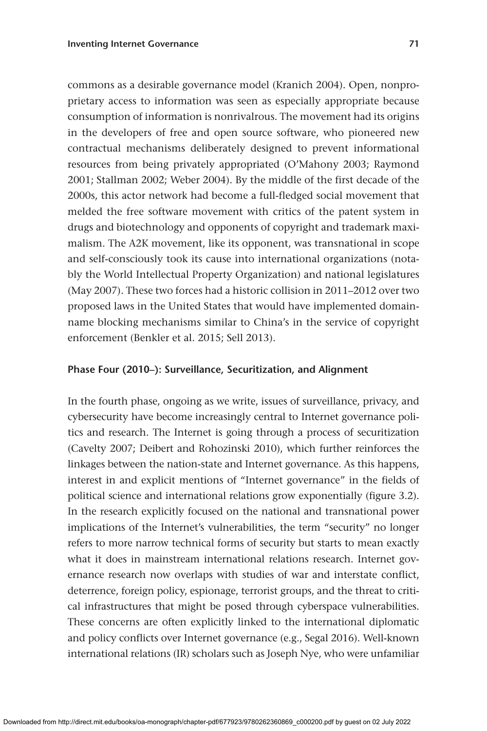commons as a desirable governance model (Kranich 2004). Open, nonproprietary access to information was seen as especially appropriate because consumption of information is nonrivalrous. The movement had its origins in the developers of free and open source software, who pioneered new contractual mechanisms deliberately designed to prevent informational resources from being privately appropriated (O'Mahony 2003; Raymond 2001; Stallman 2002; Weber 2004). By the middle of the first decade of the 2000s, this actor network had become a full-fledged social movement that melded the free software movement with critics of the patent system in drugs and biotechnology and opponents of copyright and trademark maximalism. The A2K movement, like its opponent, was transnational in scope and self-consciously took its cause into international organizations (notably the World Intellectual Property Organization) and national legislatures (May 2007). These two forces had a historic collision in 2011–2012 over two proposed laws in the United States that would have implemented domainname blocking mechanisms similar to China's in the service of copyright enforcement (Benkler et al. 2015; Sell 2013).

#### **Phase Four (2010–): Surveillance, Securitization, and Alignment**

In the fourth phase, ongoing as we write, issues of surveillance, privacy, and cybersecurity have become increasingly central to Internet governance politics and research. The Internet is going through a process of securitization (Cavelty 2007; Deibert and Rohozinski 2010), which further reinforces the linkages between the nation-state and Internet governance. As this happens, interest in and explicit mentions of "Internet governance" in the fields of political science and international relations grow exponentially (figure 3.2). In the research explicitly focused on the national and transnational power implications of the Internet's vulnerabilities, the term "security" no longer refers to more narrow technical forms of security but starts to mean exactly what it does in mainstream international relations research. Internet governance research now overlaps with studies of war and interstate conflict, deterrence, foreign policy, espionage, terrorist groups, and the threat to critical infrastructures that might be posed through cyberspace vulnerabilities. These concerns are often explicitly linked to the international diplomatic and policy conflicts over Internet governance (e.g., Segal 2016). Well-known international relations (IR) scholars such as Joseph Nye, who were unfamiliar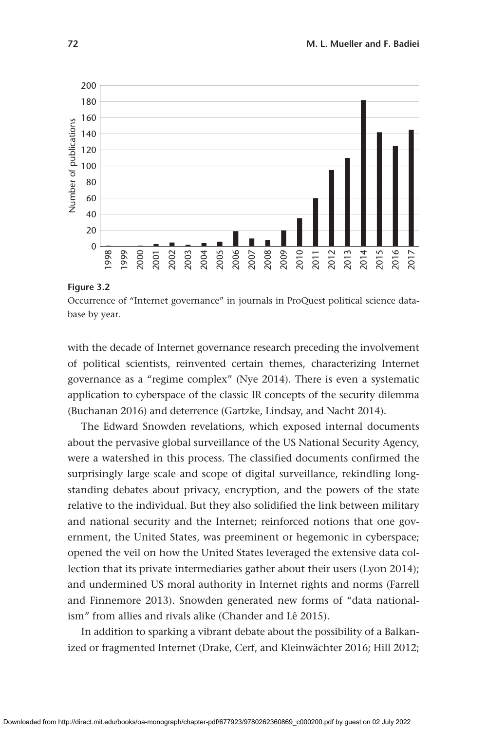

#### **Figure 3.2**

Occurrence of "Internet governance" in journals in ProQuest political science database by year.

with the decade of Internet governance research preceding the involvement of political scientists, reinvented certain themes, characterizing Internet governance as a "regime complex" (Nye 2014). There is even a systematic application to cyberspace of the classic IR concepts of the security dilemma (Buchanan 2016) and deterrence (Gartzke, Lindsay, and Nacht 2014).

The Edward Snowden revelations, which exposed internal documents about the pervasive global surveillance of the US National Security Agency, were a watershed in this process. The classified documents confirmed the surprisingly large scale and scope of digital surveillance, rekindling longstanding debates about privacy, encryption, and the powers of the state relative to the individual. But they also solidified the link between military and national security and the Internet; reinforced notions that one government, the United States, was preeminent or hegemonic in cyberspace; opened the veil on how the United States leveraged the extensive data collection that its private intermediaries gather about their users (Lyon 2014); and undermined US moral authority in Internet rights and norms (Farrell and Finnemore 2013). Snowden generated new forms of "data nationalism" from allies and rivals alike (Chander and Lê 2015).

In addition to sparking a vibrant debate about the possibility of a Balkanized or fragmented Internet (Drake, Cerf, and Kleinwächter 2016; Hill 2012;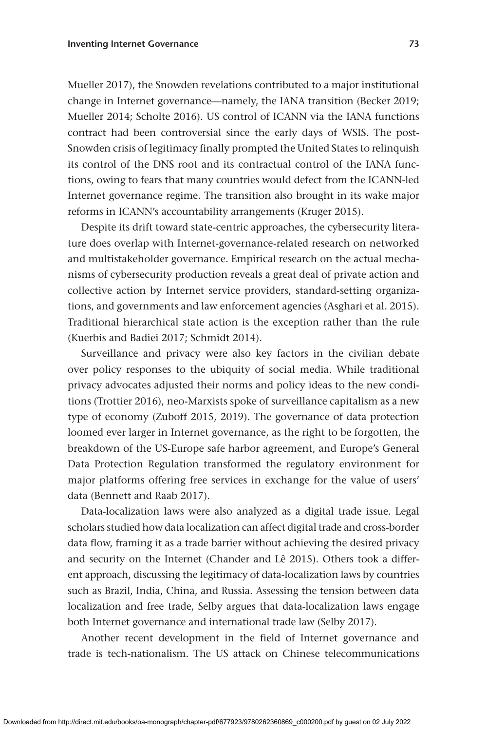Mueller 2017), the Snowden revelations contributed to a major institutional change in Internet governance—namely, the IANA transition (Becker 2019; Mueller 2014; Scholte 2016). US control of ICANN via the IANA functions contract had been controversial since the early days of WSIS. The post-Snowden crisis of legitimacy finally prompted the United States to relinquish its control of the DNS root and its contractual control of the IANA functions, owing to fears that many countries would defect from the ICANN-led Internet governance regime. The transition also brought in its wake major reforms in ICANN's accountability arrangements (Kruger 2015).

Despite its drift toward state-centric approaches, the cybersecurity literature does overlap with Internet-governance-related research on networked and multistakeholder governance. Empirical research on the actual mechanisms of cybersecurity production reveals a great deal of private action and collective action by Internet service providers, standard-setting organizations, and governments and law enforcement agencies (Asghari et al. 2015). Traditional hierarchical state action is the exception rather than the rule (Kuerbis and Badiei 2017; Schmidt 2014).

Surveillance and privacy were also key factors in the civilian debate over policy responses to the ubiquity of social media. While traditional privacy advocates adjusted their norms and policy ideas to the new conditions (Trottier 2016), neo-Marxists spoke of surveillance capitalism as a new type of economy (Zuboff 2015, 2019). The governance of data protection loomed ever larger in Internet governance, as the right to be forgotten, the breakdown of the US-Europe safe harbor agreement, and Europe's General Data Protection Regulation transformed the regulatory environment for major platforms offering free services in exchange for the value of users' data (Bennett and Raab 2017).

Data-localization laws were also analyzed as a digital trade issue. Legal scholars studied how data localization can affect digital trade and cross-border data flow, framing it as a trade barrier without achieving the desired privacy and security on the Internet (Chander and Lê 2015). Others took a different approach, discussing the legitimacy of data-localization laws by countries such as Brazil, India, China, and Russia. Assessing the tension between data localization and free trade, Selby argues that data-localization laws engage both Internet governance and international trade law (Selby 2017).

Another recent development in the field of Internet governance and trade is tech-nationalism. The US attack on Chinese telecommunications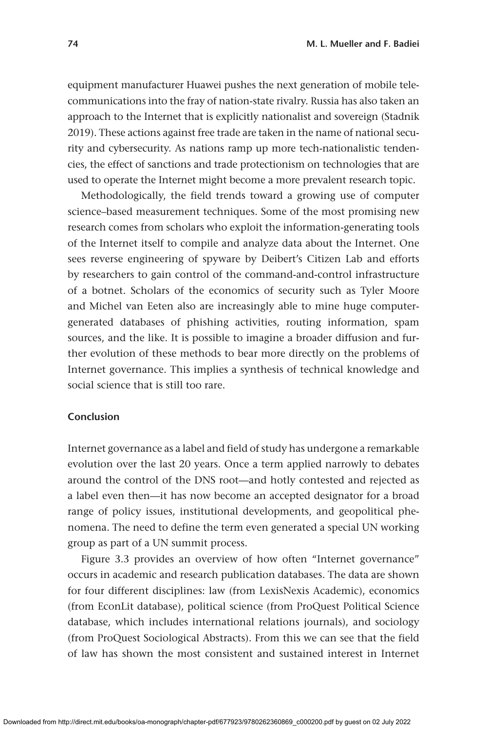equipment manufacturer Huawei pushes the next generation of mobile telecommunications into the fray of nation-state rivalry. Russia has also taken an approach to the Internet that is explicitly nationalist and sovereign (Stadnik 2019). These actions against free trade are taken in the name of national security and cybersecurity. As nations ramp up more tech-nationalistic tendencies, the effect of sanctions and trade protectionism on technologies that are used to operate the Internet might become a more prevalent research topic.

Methodologically, the field trends toward a growing use of computer science–based measurement techniques. Some of the most promising new research comes from scholars who exploit the information-generating tools of the Internet itself to compile and analyze data about the Internet. One sees reverse engineering of spyware by Deibert's Citizen Lab and efforts by researchers to gain control of the command-and-control infrastructure of a botnet. Scholars of the economics of security such as Tyler Moore and Michel van Eeten also are increasingly able to mine huge computergenerated databases of phishing activities, routing information, spam sources, and the like. It is possible to imagine a broader diffusion and further evolution of these methods to bear more directly on the problems of Internet governance. This implies a synthesis of technical knowledge and social science that is still too rare.

#### **Conclusion**

Internet governance as a label and field of study has undergone a remarkable evolution over the last 20 years. Once a term applied narrowly to debates around the control of the DNS root—and hotly contested and rejected as a label even then—it has now become an accepted designator for a broad range of policy issues, institutional developments, and geopolitical phenomena. The need to define the term even generated a special UN working group as part of a UN summit process.

Figure 3.3 provides an overview of how often "Internet governance" occurs in academic and research publication databases. The data are shown for four different disciplines: law (from LexisNexis Academic), economics (from EconLit database), political science (from ProQuest Political Science database, which includes international relations journals), and sociology (from ProQuest Sociological Abstracts). From this we can see that the field of law has shown the most consistent and sustained interest in Internet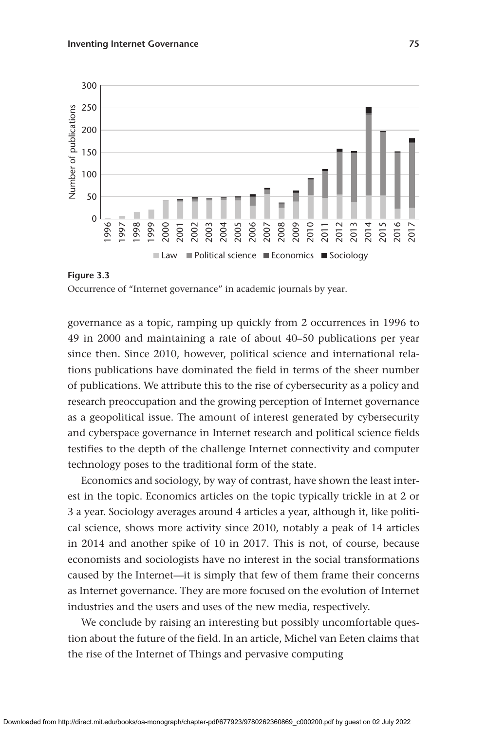



governance as a topic, ramping up quickly from 2 occurrences in 1996 to 49 in 2000 and maintaining a rate of about 40–50 publications per year since then. Since 2010, however, political science and international relations publications have dominated the field in terms of the sheer number of publications. We attribute this to the rise of cybersecurity as a policy and research preoccupation and the growing perception of Internet governance as a geopolitical issue. The amount of interest generated by cybersecurity and cyberspace governance in Internet research and political science fields testifies to the depth of the challenge Internet connectivity and computer technology poses to the traditional form of the state.

Economics and sociology, by way of contrast, have shown the least interest in the topic. Economics articles on the topic typically trickle in at 2 or 3 a year. Sociology averages around 4 articles a year, although it, like political science, shows more activity since 2010, notably a peak of 14 articles in 2014 and another spike of 10 in 2017. This is not, of course, because economists and sociologists have no interest in the social transformations caused by the Internet—it is simply that few of them frame their concerns as Internet governance. They are more focused on the evolution of Internet industries and the users and uses of the new media, respectively.

We conclude by raising an interesting but possibly uncomfortable question about the future of the field. In an article, Michel van Eeten claims that the rise of the Internet of Things and pervasive computing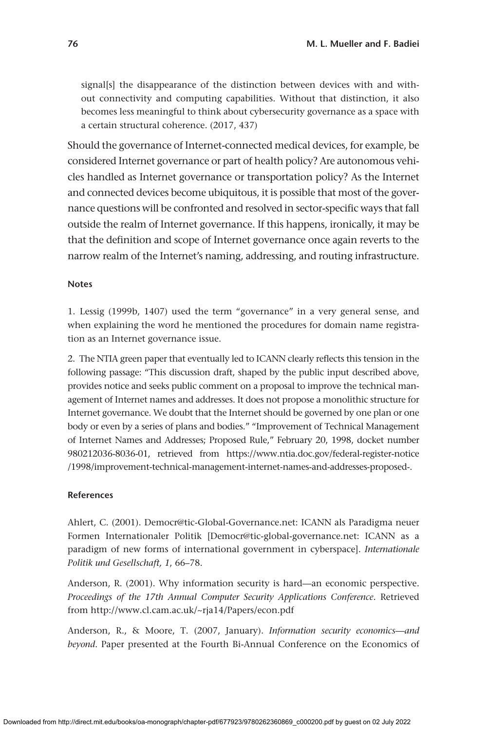signal[s] the disappearance of the distinction between devices with and without connectivity and computing capabilities. Without that distinction, it also becomes less meaningful to think about cybersecurity governance as a space with a certain structural coherence. (2017, 437)

Should the governance of Internet-connected medical devices, for example, be considered Internet governance or part of health policy? Are autonomous vehicles handled as Internet governance or transportation policy? As the Internet and connected devices become ubiquitous, it is possible that most of the governance questions will be confronted and resolved in sector-specific ways that fall outside the realm of Internet governance. If this happens, ironically, it may be that the definition and scope of Internet governance once again reverts to the narrow realm of the Internet's naming, addressing, and routing infrastructure.

#### **Notes**

1. Lessig (1999b, 1407) used the term "governance" in a very general sense, and when explaining the word he mentioned the procedures for domain name registration as an Internet governance issue.

2. The NTIA green paper that eventually led to ICANN clearly reflects this tension in the following passage: "This discussion draft, shaped by the public input described above, provides notice and seeks public comment on a proposal to improve the technical management of Internet names and addresses. It does not propose a monolithic structure for Internet governance. We doubt that the Internet should be governed by one plan or one body or even by a series of plans and bodies." "Improvement of Technical Management of Internet Names and Addresses; Proposed Rule," February 20, 1998, docket number 980212036-8036-01, retrieved from [https://www.ntia.doc.gov/federal-register-notice](https://www.ntia.doc.gov/federal-register-notice/1998/improvement-technical-management-internet-names-and-addresses-proposed-) [/1998/improvement-technical-management-internet-names-and-addresses-proposed-](https://www.ntia.doc.gov/federal-register-notice/1998/improvement-technical-management-internet-names-and-addresses-proposed-).

#### **References**

Ahlert, C. (2001). Democr@tic-Global-Governance.net: ICANN als Paradigma neuer Formen Internationaler Politik [Democr@tic-global-governance.net: ICANN as a paradigm of new forms of international government in cyberspace]. *Internationale Politik und Gesellschaft, 1*, 66–78.

Anderson, R. (2001). Why information security is hard—an economic perspective. *Proceedings of the 17th Annual Computer Security Applications Conference*. Retrieved from<http://www.cl.cam.ac.uk/~rja14/Papers/econ.pdf>

Anderson, R., & Moore, T. (2007, January). *Information security economics—and beyond*. Paper presented at the Fourth Bi-Annual Conference on the Economics of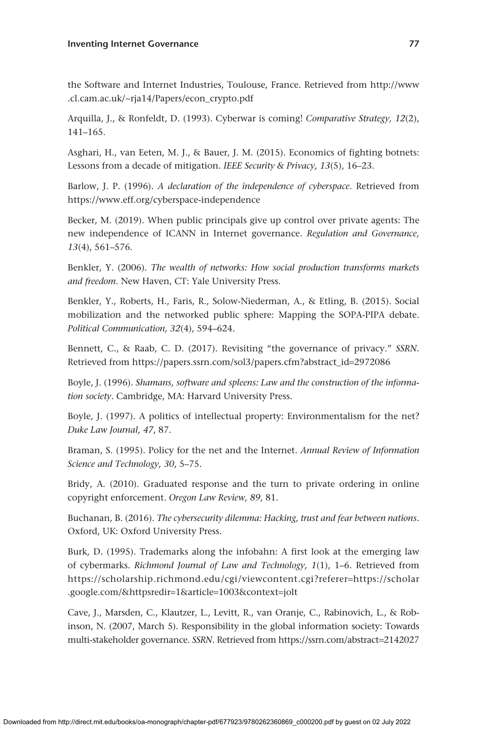the Software and Internet Industries, Toulouse, France. Retrieved from [http://www](http://www.cl.cam.ac.uk/~rja14/Papers/econ_crypto.pdf) [.cl.cam.ac.uk/~rja14/Papers/econ\\_crypto.pdf](http://www.cl.cam.ac.uk/~rja14/Papers/econ_crypto.pdf)

Arquilla, J., & Ronfeldt, D. (1993). Cyberwar is coming! *Comparative Strategy, 12*(2), 141–165.

Asghari, H., van Eeten, M. J., & Bauer, J. M. (2015). Economics of fighting botnets: Lessons from a decade of mitigation. *IEEE Security & Privacy, 13*(5), 16–23.

Barlow, J. P. (1996). *A declaration of the independence of cyberspace*. Retrieved from <https://www.eff.org/cyberspace-independence>

Becker, M. (2019). When public principals give up control over private agents: The new independence of ICANN in Internet governance. *Regulation and Governance, 13*(4), 561–576.

Benkler, Y. (2006). *The wealth of networks: How social production transforms markets and freedom*. New Haven, CT: Yale University Press.

Benkler, Y., Roberts, H., Faris, R., Solow-Niederman, A., & Etling, B. (2015). Social mobilization and the networked public sphere: Mapping the SOPA-PIPA debate. *Political Communication, 32*(4), 594–624.

Bennett, C., & Raab, C. D. (2017). Revisiting "the governance of privacy." *SSRN*. Retrieved from [https://papers.ssrn.com/sol3/papers.cfm?abstract\\_id](https://papers.ssrn.com/sol3/papers.cfm?abstract_id=2972086)=2972086

Boyle, J. (1996). *Shamans, software and spleens: Law and the construction of the information society*. Cambridge, MA: Harvard University Press.

Boyle, J. (1997). A politics of intellectual property: Environmentalism for the net? *Duke Law Journal, 47*, 87.

Braman, S. (1995). Policy for the net and the Internet. *Annual Review of Information Science and Technology, 30*, 5–75.

Bridy, A. (2010). Graduated response and the turn to private ordering in online copyright enforcement. *Oregon Law Review, 89*, 81.

Buchanan, B. (2016). *The cybersecurity dilemma: Hacking, trust and fear between nations*. Oxford, UK: Oxford University Press.

Burk, D. (1995). Trademarks along the infobahn: A first look at the emerging law of cybermarks. *Richmond Journal of Law and Technology, 1*(1), 1–6. Retrieved from [https://scholarship.richmond.edu/cgi/viewcontent.cgi?referer](https://scholarship.richmond.edu/cgi/viewcontent.cgi?referer=https://scholar.google.com/&httpsredir=1&article=1003&context=jolt)=https://scholar [.google.com/&httpsredir](https://scholarship.richmond.edu/cgi/viewcontent.cgi?referer=https://scholar.google.com/&httpsredir=1&article=1003&context=jolt)=1&article=1003&context=jolt

Cave, J., Marsden, C., Klautzer, L., Levitt, R., van Oranje, C., Rabinovich, L., & Robinson, N. (2007, March 5). Responsibility in the global information society: Towards multi-stakeholder governance. *SSRN*. Retrieved from [https://ssrn.com/abstract](https://ssrn.com/abstract=2142027)=2142027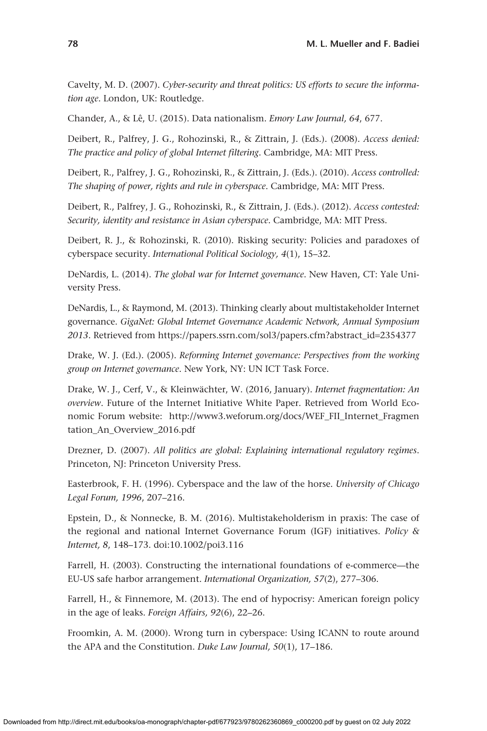Cavelty, M. D. (2007). *Cyber-security and threat politics: US efforts to secure the information age*. London, UK: Routledge.

Chander, A., & Lê, U. (2015). Data nationalism. *Emory Law Journal, 64*, 677.

Deibert, R., Palfrey, J. G., Rohozinski, R., & Zittrain, J. (Eds.). (2008). *Access denied: The practice and policy of global Internet filtering*. Cambridge, MA: MIT Press.

Deibert, R., Palfrey, J. G., Rohozinski, R., & Zittrain, J. (Eds.). (2010). *Access controlled: The shaping of power, rights and rule in cyberspace*. Cambridge, MA: MIT Press.

Deibert, R., Palfrey, J. G., Rohozinski, R., & Zittrain, J. (Eds.). (2012). *Access contested: Security, identity and resistance in Asian cyberspace*. Cambridge, MA: MIT Press.

Deibert, R. J., & Rohozinski, R. (2010). Risking security: Policies and paradoxes of cyberspace security. *International Political Sociology, 4*(1), 15–32.

DeNardis, L. (2014). *The global war for Internet governance*. New Haven, CT: Yale University Press.

DeNardis, L., & Raymond, M. (2013). Thinking clearly about multistakeholder Internet governance. *GigaNet: Global Internet Governance Academic Network, Annual Symposium 2013*. Retrieved from [https://papers.ssrn.com/sol3/papers.cfm?abstract\\_id](https://papers.ssrn.com/sol3/papers.cfm?abstract_id=2354377)=2354377

Drake, W. J. (Ed.). (2005). *Reforming Internet governance: Perspectives from the working group on Internet governance*. New York, NY: UN ICT Task Force.

Drake, W. J., Cerf, V., & Kleinwächter, W. (2016, January). *Internet fragmentation: An overview*. Future of the Internet Initiative White Paper. Retrieved from World Economic Forum website: [http://www3.weforum.org/docs/WEF\\_FII\\_Internet\\_Fragmen](http://www3.weforum.org/docs/WEF_FII_Internet_Fragmentation_An_Overview_2016.pdf) [tation\\_An\\_Overview\\_2016.pdf](http://www3.weforum.org/docs/WEF_FII_Internet_Fragmentation_An_Overview_2016.pdf)

Drezner, D. (2007). *All politics are global: Explaining international regulatory regimes*. Princeton, NJ: Princeton University Press.

Easterbrook, F. H. (1996). Cyberspace and the law of the horse. *University of Chicago Legal Forum, 1996*, 207–216.

Epstein, D., & Nonnecke, B. M. (2016). Multistakeholderism in praxis: The case of the regional and national Internet Governance Forum (IGF) initiatives. *Policy & Internet, 8*, 148–173. doi:10.1002/poi3.116

Farrell, H. (2003). Constructing the international foundations of e-commerce—the EU-US safe harbor arrangement. *International Organization, 57*(2), 277–306.

Farrell, H., & Finnemore, M. (2013). The end of hypocrisy: American foreign policy in the age of leaks. *Foreign Affairs, 92*(6), 22–26.

Froomkin, A. M. (2000). Wrong turn in cyberspace: Using ICANN to route around the APA and the Constitution. *Duke Law Journal, 50*(1), 17–186.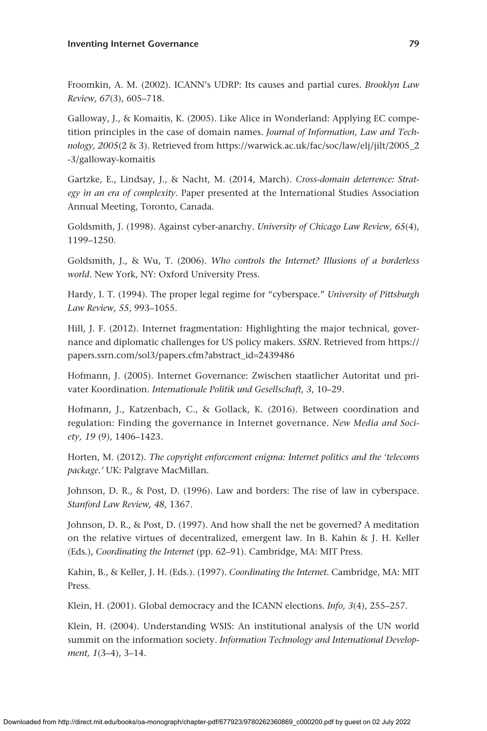Froomkin, A. M. (2002). ICANN's UDRP: Its causes and partial cures. *Brooklyn Law Review, 67*(3), 605–718.

Galloway, J., & Komaitis, K. (2005). Like Alice in Wonderland: Applying EC competition principles in the case of domain names. *Journal of Information, Law and Technology, 2005*(2 & 3). Retrieved from [https://warwick.ac.uk/fac/soc/law/elj/jilt/2005\\_2](https://warwick.ac.uk/fac/soc/law/elj/jilt/2005_2-3/galloway-komaitis) [-3/galloway-komaitis](https://warwick.ac.uk/fac/soc/law/elj/jilt/2005_2-3/galloway-komaitis)

Gartzke, E., Lindsay, J., & Nacht, M. (2014, March). *Cross-domain deterrence: Strategy in an era of complexity*. Paper presented at the International Studies Association Annual Meeting, Toronto, Canada.

Goldsmith, J. (1998). Against cyber-anarchy. *University of Chicago Law Review, 65*(4), 1199–1250.

Goldsmith, J., & Wu, T. (2006). *Who controls the Internet? Illusions of a borderless world*. New York, NY: Oxford University Press.

Hardy, I. T. (1994). The proper legal regime for "cyberspace." *University of Pittsburgh Law Review, 55*, 993–1055.

Hill, J. F. (2012). Internet fragmentation: Highlighting the major technical, governance and diplomatic challenges for US policy makers. *SSRN*. Retrieved from [https://](https://papers.ssrn.com/sol3/papers.cfm?abstract_id=2439486) [papers.ssrn.com/sol3/papers.cfm?abstract\\_id](https://papers.ssrn.com/sol3/papers.cfm?abstract_id=2439486)=2439486

Hofmann, J. (2005). Internet Governance: Zwischen staatlicher Autoritat und privater Koordination. *Internationale Politik und Gesellschaft, 3*, 10–29.

Hofmann, J., Katzenbach, C., & Gollack, K. (2016). Between coordination and regulation: Finding the governance in Internet governance. *New Media and Society, 19* (9), 1406–1423.

Horten, M. (2012). *The copyright enforcement enigma: Internet politics and the 'telecoms package.'* UK: Palgrave MacMillan.

Johnson, D. R., & Post, D. (1996). Law and borders: The rise of law in cyberspace. *Stanford Law Review, 48*, 1367.

Johnson, D. R., & Post, D. (1997). And how shall the net be governed? A meditation on the relative virtues of decentralized, emergent law. In B. Kahin & J. H. Keller (Eds.), *Coordinating the Internet* (pp. 62–91). Cambridge, MA: MIT Press.

Kahin, B., & Keller, J. H. (Eds.). (1997). *Coordinating the Internet*. Cambridge, MA: MIT Press.

Klein, H. (2001). Global democracy and the ICANN elections. *Info, 3*(4), 255–257.

Klein, H. (2004). Understanding WSIS: An institutional analysis of the UN world summit on the information society. *Information Technology and International Development, 1*(3–4), 3–14.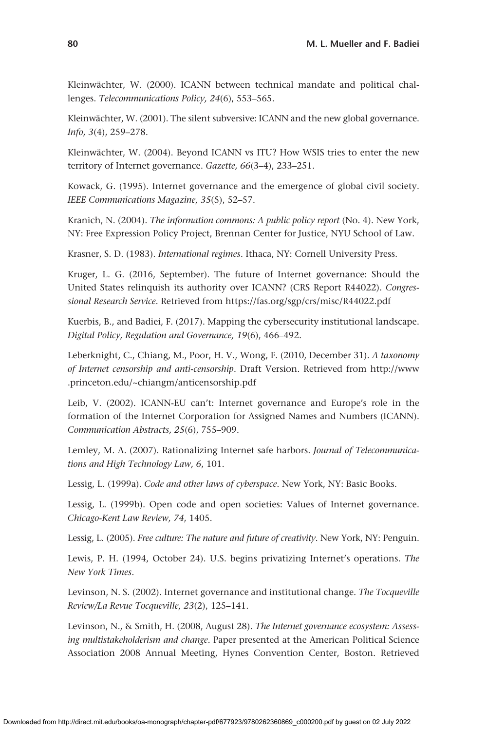Kleinwächter, W. (2000). ICANN between technical mandate and political challenges. *Telecommunications Policy, 24*(6), 553–565.

Kleinwächter, W. (2001). The silent subversive: ICANN and the new global governance. *Info, 3*(4), 259–278.

Kleinwächter, W. (2004). Beyond ICANN vs ITU? How WSIS tries to enter the new territory of Internet governance. *Gazette, 66*(3–4), 233–251.

Kowack, G. (1995). Internet governance and the emergence of global civil society. *IEEE Communications Magazine, 35*(5), 52–57.

Kranich, N. (2004). *The information commons: A public policy report* (No. 4). New York, NY: Free Expression Policy Project, Brennan Center for Justice, NYU School of Law.

Krasner, S. D. (1983). *International regimes*. Ithaca, NY: Cornell University Press.

Kruger, L. G. (2016, September). The future of Internet governance: Should the United States relinquish its authority over ICANN? (CRS Report R44022). *Congressional Research Service*. Retrieved from <https://fas.org/sgp/crs/misc/R44022.pdf>

Kuerbis, B., and Badiei, F. (2017). Mapping the cybersecurity institutional landscape. *Digital Policy, Regulation and Governance, 19*(6), 466–492.

Leberknight, C., Chiang, M., Poor, H. V., Wong, F. (2010, December 31). *A taxonomy of Internet censorship and anti-censorship*. Draft Version. Retrieved from [http://www](http://www.princeton.edu/~chiangm/anticensorship.pdf) [.princeton.edu/~chiangm/anticensorship.pdf](http://www.princeton.edu/~chiangm/anticensorship.pdf)

Leib, V. (2002). ICANN-EU can't: Internet governance and Europe's role in the formation of the Internet Corporation for Assigned Names and Numbers (ICANN). *Communication Abstracts, 25*(6), 755–909.

Lemley, M. A. (2007). Rationalizing Internet safe harbors. *Journal of Telecommunications and High Technology Law, 6*, 101.

Lessig, L. (1999a). *Code and other laws of cyberspace*. New York, NY: Basic Books.

Lessig, L. (1999b). Open code and open societies: Values of Internet governance. *Chicago-Kent Law Review, 74*, 1405.

Lessig, L. (2005). *Free culture: The nature and future of creativity*. New York, NY: Penguin.

Lewis, P. H. (1994, October 24). U.S. begins privatizing Internet's operations. *The New York Times*.

Levinson, N. S. (2002). Internet governance and institutional change. *The Tocqueville Review/La Revue Tocqueville, 23*(2), 125–141.

Levinson, N., & Smith, H. (2008, August 28). *The Internet governance ecosystem: Assessing multistakeholderism and change*. Paper presented at the American Political Science Association 2008 Annual Meeting, Hynes Convention Center, Boston. Retrieved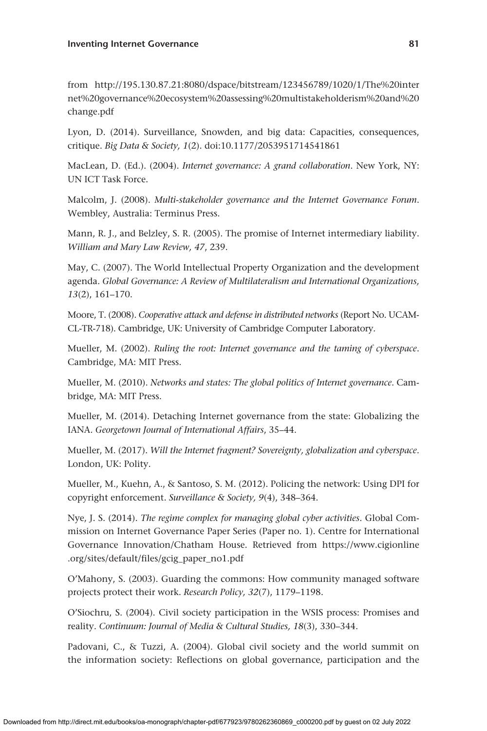from [http://195.130.87.21:8080/dspace/bitstream/123456789/1020/1/The%20inter](http://195.130.87.21:8080/dspace/bitstream/123456789/1020/1/The%20internet%20governance%20ecosystem%20assessing%20multistakeholderism%20and%20change.pdf) [net%20governance%20ecosystem%20assessing%20multistakeholderism%20and%20](http://195.130.87.21:8080/dspace/bitstream/123456789/1020/1/The%20internet%20governance%20ecosystem%20assessing%20multistakeholderism%20and%20change.pdf) [change.pdf](http://195.130.87.21:8080/dspace/bitstream/123456789/1020/1/The%20internet%20governance%20ecosystem%20assessing%20multistakeholderism%20and%20change.pdf)

Lyon, D. (2014). Surveillance, Snowden, and big data: Capacities, consequences, critique. *Big Data & Society, 1*(2). doi:10.1177/2053951714541861

MacLean, D. (Ed.). (2004). *Internet governance: A grand collaboration*. New York, NY: UN ICT Task Force.

Malcolm, J. (2008). *Multi-stakeholder governance and the Internet Governance Forum*. Wembley, Australia: Terminus Press.

Mann, R. J., and Belzley, S. R. (2005). The promise of Internet intermediary liability. *William and Mary Law Review, 47*, 239.

May, C. (2007). The World Intellectual Property Organization and the development agenda. *Global Governance: A Review of Multilateralism and International Organizations, 13*(2), 161–170.

Moore, T. (2008). *Cooperative attack and defense in distributed networks* (Report No. UCAM-CL-TR-718). Cambridge, UK: University of Cambridge Computer Laboratory.

Mueller, M. (2002). *Ruling the root: Internet governance and the taming of cyberspace*. Cambridge, MA: MIT Press.

Mueller, M. (2010). *Networks and states: The global politics of Internet governance*. Cambridge, MA: MIT Press.

Mueller, M. (2014). Detaching Internet governance from the state: Globalizing the IANA. *Georgetown Journal of International Affairs*, 35–44.

Mueller, M. (2017). *Will the Internet fragment? Sovereignty, globalization and cyberspace*. London, UK: Polity.

Mueller, M., Kuehn, A., & Santoso, S. M. (2012). Policing the network: Using DPI for copyright enforcement. *Surveillance & Society, 9*(4), 348–364.

Nye, J. S. (2014). *The regime complex for managing global cyber activities*. Global Commission on Internet Governance Paper Series (Paper no. 1). Centre for International Governance Innovation/Chatham House. Retrieved from [https://www.cigionline](https://www.cigionline.org/sites/default/files/gcig_paper_no1.pdf) [.org/sites/default/files/gcig\\_paper\\_no1.pdf](https://www.cigionline.org/sites/default/files/gcig_paper_no1.pdf)

O'Mahony, S. (2003). Guarding the commons: How community managed software projects protect their work. *Research Policy, 32*(7), 1179–1198.

O'Siochru, S. (2004). Civil society participation in the WSIS process: Promises and reality. *Continuum: Journal of Media & Cultural Studies, 18*(3), 330–344.

Padovani, C., & Tuzzi, A. (2004). Global civil society and the world summit on the information society: Reflections on global governance, participation and the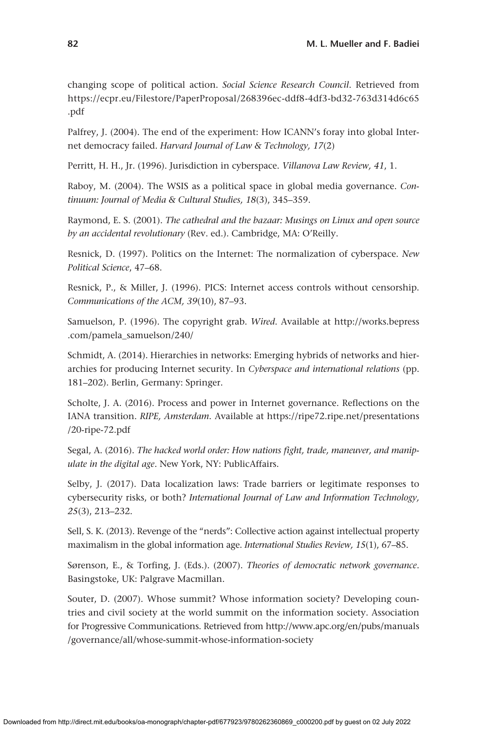changing scope of political action. *Social Science Research Council*. Retrieved from [https://ecpr.eu/Filestore/PaperProposal/268396ec-ddf8-4df3-bd32-763d314d6c65](https://ecpr.eu/Filestore/PaperProposal/268396ec-ddf8-4df3-bd32-763d314d6c65.pdf) [.pdf](https://ecpr.eu/Filestore/PaperProposal/268396ec-ddf8-4df3-bd32-763d314d6c65.pdf)

Palfrey, J. (2004). The end of the experiment: How ICANN's foray into global Internet democracy failed. *Harvard Journal of Law & Technology, 17*(2)

Perritt, H. H., Jr. (1996). Jurisdiction in cyberspace. *Villanova Law Review, 41*, 1.

Raboy, M. (2004). The WSIS as a political space in global media governance. *Continuum: Journal of Media & Cultural Studies, 18*(3), 345–359.

Raymond, E. S. (2001). *The cathedral and the bazaar: Musings on Linux and open source by an accidental revolutionary* (Rev. ed.). Cambridge, MA: O'Reilly.

Resnick, D. (1997). Politics on the Internet: The normalization of cyberspace. *New Political Science*, 47–68.

Resnick, P., & Miller, J. (1996). PICS: Internet access controls without censorship. *Communications of the ACM, 39*(10), 87–93.

Samuelson, P. (1996). The copyright grab. *Wired*. Available at [http://works.bepress](http://works.bepress.com/pamela_samuelson/240/) [.com/pamela\\_samuelson/240/](http://works.bepress.com/pamela_samuelson/240/)

Schmidt, A. (2014). Hierarchies in networks: Emerging hybrids of networks and hierarchies for producing Internet security. In *Cyberspace and international relations* (pp. 181–202). Berlin, Germany: Springer.

Scholte, J. A. (2016). Process and power in Internet governance. Reflections on the IANA transition. *RIPE, Amsterdam*. Available at [https://ripe72.ripe.net/presentations](https://ripe72.ripe.net/presentations/20-ripe-72.pdf) [/20-ripe-72.pdf](https://ripe72.ripe.net/presentations/20-ripe-72.pdf)

Segal, A. (2016). *The hacked world order: How nations fight, trade, maneuver, and manipulate in the digital age*. New York, NY: PublicAffairs.

Selby, J. (2017). Data localization laws: Trade barriers or legitimate responses to cybersecurity risks, or both? *International Journal of Law and Information Technology, 25*(3), 213–232.

Sell, S. K. (2013). Revenge of the "nerds": Collective action against intellectual property maximalism in the global information age. *International Studies Review, 15*(1), 67–85.

Sørenson, E., & Torfing, J. (Eds.). (2007). *Theories of democratic network governance*. Basingstoke, UK: Palgrave Macmillan.

Souter, D. (2007). Whose summit? Whose information society? Developing countries and civil society at the world summit on the information society. Association for Progressive Communications. Retrieved from [http://www.apc.org/en/pubs/manuals](http://www.apc.org/en/pubs/manuals/governance/all/whose-summit-whose-information-society) [/governance/all/whose-summit-whose-information-society](http://www.apc.org/en/pubs/manuals/governance/all/whose-summit-whose-information-society)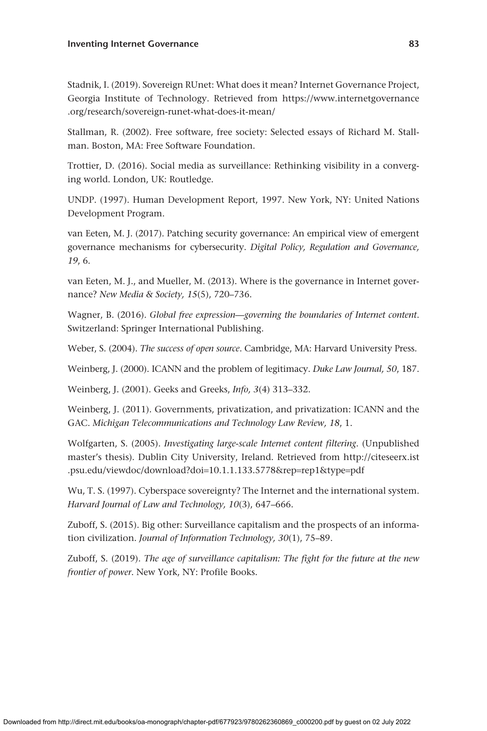Stadnik, I. (2019). Sovereign RUnet: What does it mean? Internet Governance Project, Georgia Institute of Technology. Retrieved from [https://www.internetgovernance](https://www.internetgovernance.org/research/sovereign-runet-what-does-it-mean/) [.org/research/sovereign-runet-what-does-it-mean/](https://www.internetgovernance.org/research/sovereign-runet-what-does-it-mean/)

Stallman, R. (2002). Free software, free society: Selected essays of Richard M. Stallman. Boston, MA: Free Software Foundation.

Trottier, D. (2016). Social media as surveillance: Rethinking visibility in a converging world. London, UK: Routledge.

UNDP. (1997). Human Development Report, 1997. New York, NY: United Nations Development Program.

van Eeten, M. J. (2017). Patching security governance: An empirical view of emergent governance mechanisms for cybersecurity. *Digital Policy, Regulation and Governance, 19*, 6.

van Eeten, M. J., and Mueller, M. (2013). Where is the governance in Internet governance? *New Media & Society, 15*(5), 720–736.

Wagner, B. (2016). *Global free expression—governing the boundaries of Internet content*. Switzerland: Springer International Publishing.

Weber, S. (2004). *The success of open source*. Cambridge, MA: Harvard University Press.

Weinberg, J. (2000). ICANN and the problem of legitimacy. *Duke Law Journal, 50*, 187.

Weinberg, J. (2001). Geeks and Greeks, *Info, 3*(4) 313–332.

Weinberg, J. (2011). Governments, privatization, and privatization: ICANN and the GAC. *Michigan Telecommunications and Technology Law Review, 18*, 1.

Wolfgarten, S. (2005). *Investigating large-scale Internet content filtering*. (Unpublished master's thesis). Dublin City University, Ireland. Retrieved from [http://citeseerx.ist](http://citeseerx.ist.psu.edu/viewdoc/download?doi=10.1.1.133.5778&rep=rep1&type=pdf) [.psu.edu/viewdoc/download?doi](http://citeseerx.ist.psu.edu/viewdoc/download?doi=10.1.1.133.5778&rep=rep1&type=pdf)=10.1.1.133.5778&rep=rep1&type=pdf

Wu, T. S. (1997). Cyberspace sovereignty? The Internet and the international system. *Harvard Journal of Law and Technology, 10*(3), 647–666.

Zuboff, S. (2015). Big other: Surveillance capitalism and the prospects of an information civilization. *Journal of Information Technology, 30*(1), 75–89.

Zuboff, S. (2019). *The age of surveillance capitalism: The fight for the future at the new frontier of power*. New York, NY: Profile Books.